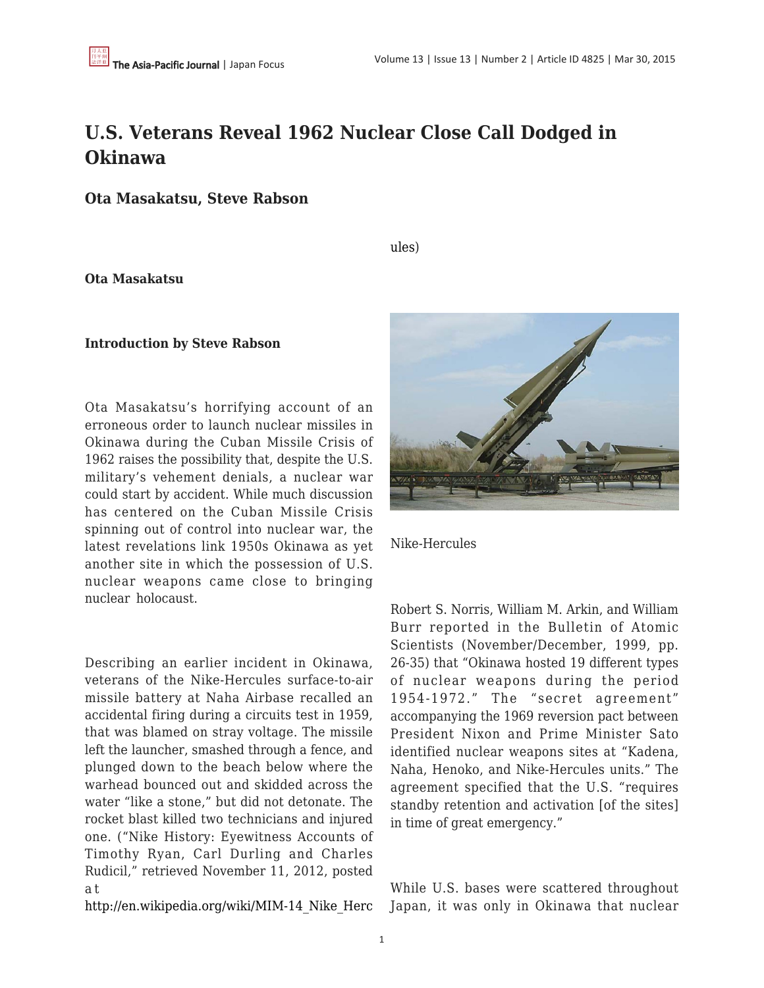## **U.S. Veterans Reveal 1962 Nuclear Close Call Dodged in Okinawa**

**Ota Masakatsu, Steve Rabson**

[ules\)](http://en.wikipedia.org/wiki/MIM-14_Nike_Hercules)

**Ota Masakatsu**

## **Introduction by Steve Rabson**

Ota Masakatsu's horrifying account of an erroneous order to launch nuclear missiles in Okinawa during the Cuban Missile Crisis of 1962 raises the possibility that, despite the U.S. military's vehement denials, a nuclear war could start by accident. While much discussion has centered on the Cuban Missile Crisis spinning out of control into nuclear war, the latest revelations link 1950s Okinawa as yet another site in which the possession of U.S. nuclear weapons came close to bringing nuclear holocaust.

Describing an earlier incident in Okinawa, veterans of the Nike-Hercules surface-to-air missile battery at Naha Airbase recalled an accidental firing during a circuits test in 1959, that was blamed on stray voltage. The missile left the launcher, smashed through a fence, and plunged down to the beach below where the warhead bounced out and skidded across the water "like a stone," but did not detonate. The rocket blast killed two technicians and injured one. ("Nike History: Eyewitness Accounts of Timothy Ryan, Carl Durling and Charles Rudicil," retrieved November 11, 2012, posted a t

[http://en.wikipedia.org/wiki/MIM-14\\_Nike\\_Herc](http://en.wikipedia.org/wiki/MIM-14_Nike_Hercules)



Nike-Hercules

Robert S. Norris, William M. Arkin, and William Burr reported in the Bulletin of Atomic Scientists (November/December, 1999, pp. 26-35) that "Okinawa hosted 19 different types of nuclear weapons during the period 1954-1972." The "secret agreement" accompanying the 1969 reversion pact between President Nixon and Prime Minister Sato identified nuclear weapons sites at "Kadena, Naha, Henoko, and Nike-Hercules units." The agreement specified that the U.S. "requires standby retention and activation [of the sites] in time of great emergency."

While U.S. bases were scattered throughout Japan, it was only in Okinawa that nuclear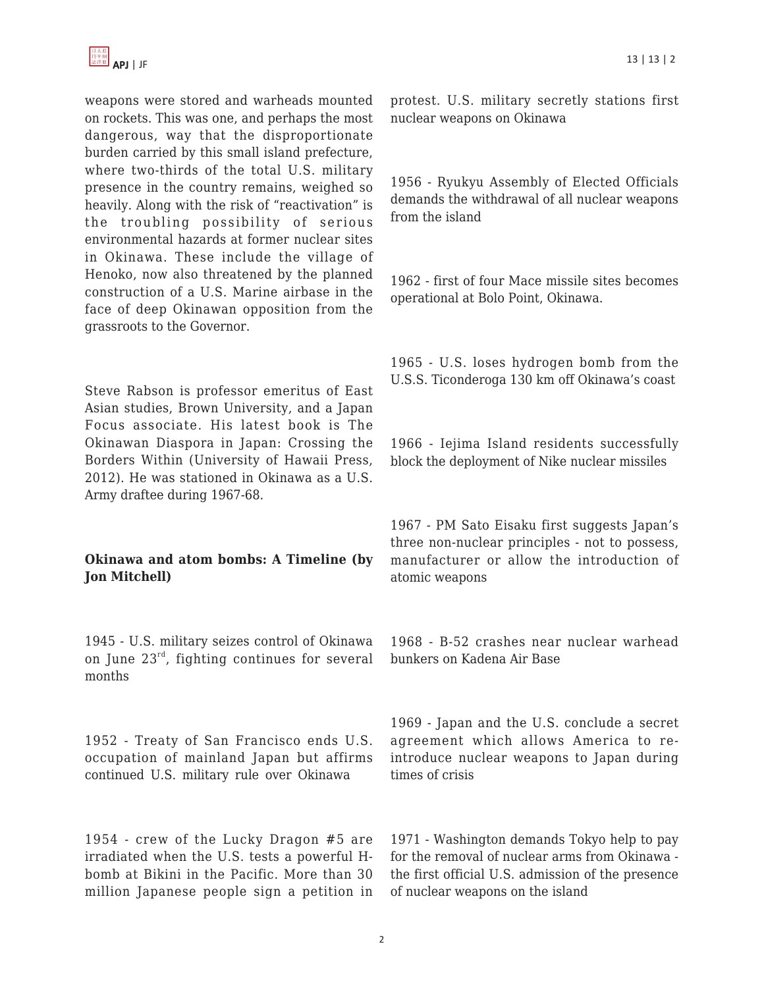

weapons were stored and warheads mounted on rockets. This was one, and perhaps the most dangerous, way that the disproportionate burden carried by this small island prefecture, where two-thirds of the total U.S. military presence in the country remains, weighed so heavily. Along with the risk of "reactivation" is the troubling possibility of serious environmental hazards at former nuclear sites in Okinawa. These include the village of Henoko, now also threatened by the planned construction of a U.S. Marine airbase in the face of deep Okinawan opposition from the grassroots to the Governor.

Steve Rabson is professor emeritus of East Asian studies, Brown University, and a Japan Focus associate. His latest book is The Okinawan Diaspora in Japan: Crossing the Borders Within (University of Hawaii Press, 2012). He was stationed in Okinawa as a U.S. Army draftee during 1967-68.

## **Okinawa and atom bombs: A Timeline (by Jon Mitchell)**

1945 - U.S. military seizes control of Okinawa on June 23rd, fighting continues for several months

1952 - Treaty of San Francisco ends U.S. occupation of mainland Japan but affirms continued U.S. military rule over Okinawa

1954 - crew of the Lucky Dragon #5 are irradiated when the U.S. tests a powerful Hbomb at Bikini in the Pacific. More than 30 million Japanese people sign a petition in protest. U.S. military secretly stations first nuclear weapons on Okinawa

1956 - Ryukyu Assembly of Elected Officials demands the withdrawal of all nuclear weapons from the island

1962 - first of four Mace missile sites becomes operational at Bolo Point, Okinawa.

1965 - U.S. loses hydrogen bomb from the U.S.S. Ticonderoga 130 km off Okinawa's coast

1966 - Iejima Island residents successfully block the deployment of Nike nuclear missiles

1967 - PM Sato Eisaku first suggests Japan's three non-nuclear principles - not to possess, manufacturer or allow the introduction of atomic weapons

1968 - B-52 crashes near nuclear warhead bunkers on Kadena Air Base

1969 - Japan and the U.S. conclude a secret agreement which allows America to reintroduce nuclear weapons to Japan during times of crisis

1971 - Washington demands Tokyo help to pay for the removal of nuclear arms from Okinawa the first official U.S. admission of the presence of nuclear weapons on the island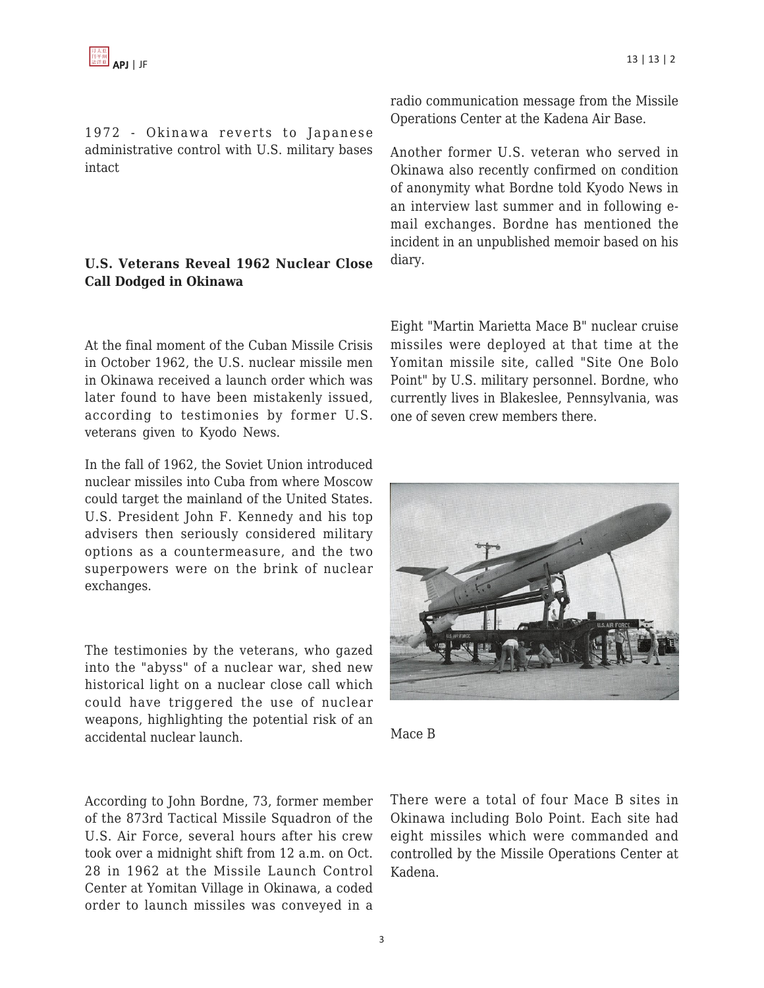1972 - Okinawa reverts to Japanese administrative control with U.S. military bases intact

## **U.S. Veterans Reveal 1962 Nuclear Close Call Dodged in Okinawa**

At the final moment of the Cuban Missile Crisis in October 1962, the U.S. nuclear missile men in Okinawa received a launch order which was later found to have been mistakenly issued, according to testimonies by former U.S. veterans given to Kyodo News.

In the fall of 1962, the Soviet Union introduced nuclear missiles into Cuba from where Moscow could target the mainland of the United States. U.S. President John F. Kennedy and his top advisers then seriously considered military options as a countermeasure, and the two superpowers were on the brink of nuclear exchanges.

The testimonies by the veterans, who gazed into the "abyss" of a nuclear war, shed new historical light on a nuclear close call which could have triggered the use of nuclear weapons, highlighting the potential risk of an accidental nuclear launch.

According to John Bordne, 73, former member of the 873rd Tactical Missile Squadron of the U.S. Air Force, several hours after his crew took over a midnight shift from 12 a.m. on Oct. 28 in 1962 at the Missile Launch Control Center at Yomitan Village in Okinawa, a coded order to launch missiles was conveyed in a

radio communication message from the Missile Operations Center at the Kadena Air Base.

Another former U.S. veteran who served in Okinawa also recently confirmed on condition of anonymity what Bordne told Kyodo News in an interview last summer and in following email exchanges. Bordne has mentioned the incident in an unpublished memoir based on his diary.

Eight "Martin Marietta Mace B" nuclear cruise missiles were deployed at that time at the Yomitan missile site, called "Site One Bolo Point" by U.S. military personnel. Bordne, who currently lives in Blakeslee, Pennsylvania, was one of seven crew members there.





There were a total of four Mace B sites in Okinawa including Bolo Point. Each site had eight missiles which were commanded and controlled by the Missile Operations Center at Kadena.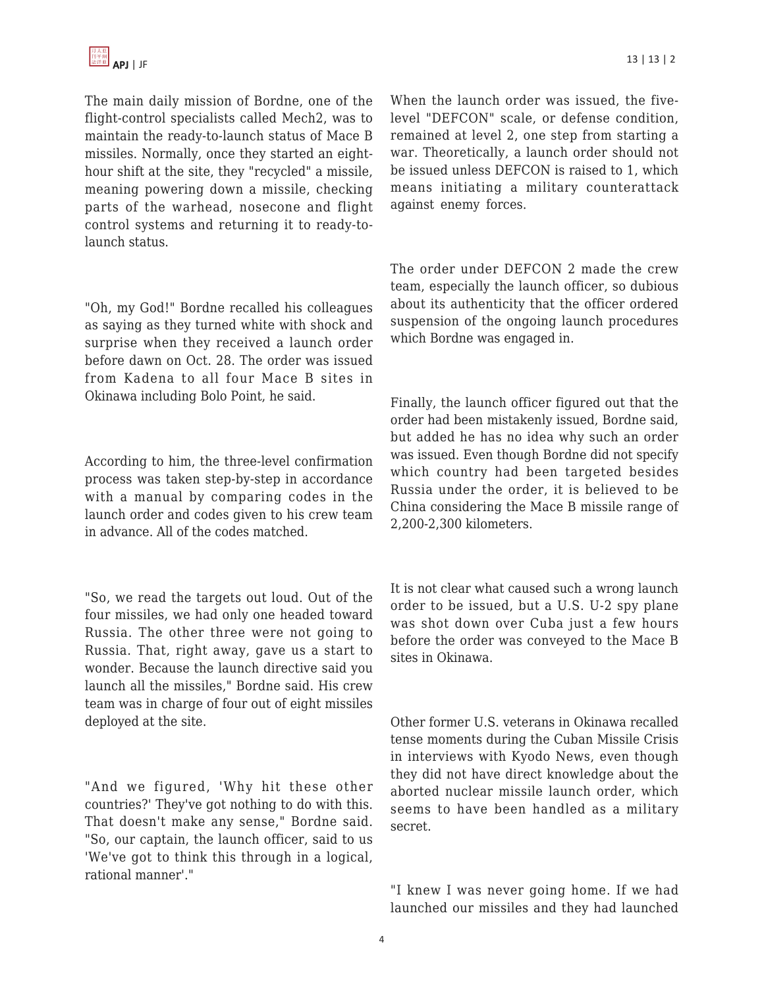The main daily mission of Bordne, one of the flight-control specialists called Mech2, was to maintain the ready-to-launch status of Mace B missiles. Normally, once they started an eighthour shift at the site, they "recycled" a missile, meaning powering down a missile, checking parts of the warhead, nosecone and flight control systems and returning it to ready-tolaunch status.

"Oh, my God!" Bordne recalled his colleagues as saying as they turned white with shock and surprise when they received a launch order before dawn on Oct. 28. The order was issued from Kadena to all four Mace B sites in Okinawa including Bolo Point, he said.

According to him, the three-level confirmation process was taken step-by-step in accordance with a manual by comparing codes in the launch order and codes given to his crew team in advance. All of the codes matched.

"So, we read the targets out loud. Out of the four missiles, we had only one headed toward Russia. The other three were not going to Russia. That, right away, gave us a start to wonder. Because the launch directive said you launch all the missiles," Bordne said. His crew team was in charge of four out of eight missiles deployed at the site.

"And we figured, 'Why hit these other countries?' They've got nothing to do with this. That doesn't make any sense," Bordne said. "So, our captain, the launch officer, said to us 'We've got to think this through in a logical, rational manner'."

When the launch order was issued, the fivelevel "DEFCON" scale, or defense condition, remained at level 2, one step from starting a war. Theoretically, a launch order should not be issued unless DEFCON is raised to 1, which means initiating a military counterattack against enemy forces.

The order under DEFCON 2 made the crew team, especially the launch officer, so dubious about its authenticity that the officer ordered suspension of the ongoing launch procedures which Bordne was engaged in.

Finally, the launch officer figured out that the order had been mistakenly issued, Bordne said, but added he has no idea why such an order was issued. Even though Bordne did not specify which country had been targeted besides Russia under the order, it is believed to be China considering the Mace B missile range of 2,200-2,300 kilometers.

It is not clear what caused such a wrong launch order to be issued, but a U.S. U-2 spy plane was shot down over Cuba just a few hours before the order was conveyed to the Mace B sites in Okinawa.

Other former U.S. veterans in Okinawa recalled tense moments during the Cuban Missile Crisis in interviews with Kyodo News, even though they did not have direct knowledge about the aborted nuclear missile launch order, which seems to have been handled as a military secret.

"I knew I was never going home. If we had launched our missiles and they had launched